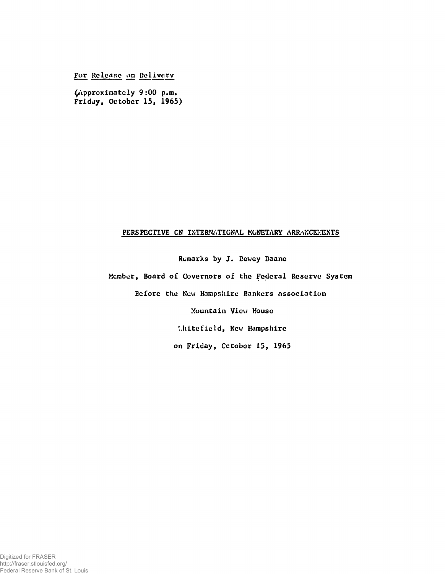**For** Release **on Dolivery**

**(Approximately 9:00 p.m. Friday, October 15, 1965)**

## PERSPECTIVE ON INTERNATIONAL MONETARY ARRANGEMENTS

**Remarks by J. Dewey Daane**

**Member, Board of Governors of the Federal Reserve System**

**Before the New Hampshire Bankers Association**

**Mountain View House**

**'..hitefield, Ncv; Hampshire**

**on Friday, Cctober 15, 1965**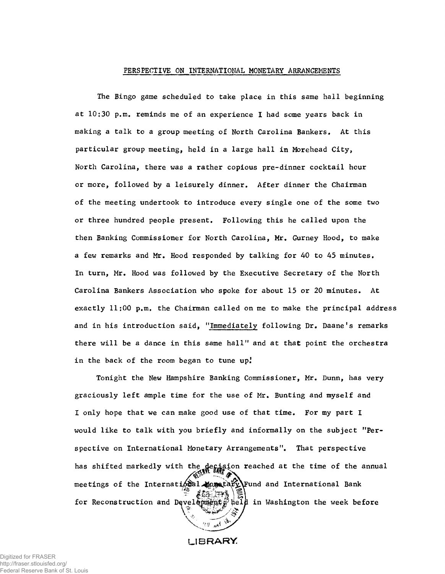## PERSPECTIVE ON INTERNATIONAL MONETARY ARRANGEMENTS

The Bingo game scheduled to take place in this same hall beginning at 10:30 p.m. reminds me of an experience I had some years back in making a talk to a group meeting of North Carolina Bankers. At this particular group meeting, held in a large hall in Morehead City, North Carolina, there was a rather copious pre-dinner cocktail hour or more, followed by a leisurely dinner. After dinner the Chairman of the meeting undertook to introduce every single one of the some two or three hundred people present. Following this he called upon the then Banking Commissioner for North Carolina, Mr. Gurney Hood, to make a few remarks and Mr. Hood responded by talking for 40 to 45 minutes. In turn, Mr. Hood was followed by the Executive Secretary of the North Carolina Bankers Association who spoke for about 15 or 20 minutes. At exactly 11:00 p.m. the Chairman called on me to make the principal address and in his introduction said, "Immediately following Dr. Daane's remarks there will be a dance in this same hall" and at that point the orchestra in the back of the room began to tune up!

Tonight the New Hampshire Banking Commissioner, Mr. Dunn, has very graciously left ample time for the use of Mr. Bunting and myself and I only hope that we can make good use of that time. For my part I would like to talk with you briefly and informally on the subject "Perspective on International Monetary Arrangements". That perspective has shifted markedly with the decision reached at the time of the annual meetings of the International Moretary\Fund and International Bank الانتشار المقالي for Reconstruction and Devel  $\{$ pnent  $\}$  help in Washington the week before /' À? *V .*\  $\phi$   $\overline{v_{\text{max}}$   $\overline{w}$ 

**l ib r a r y**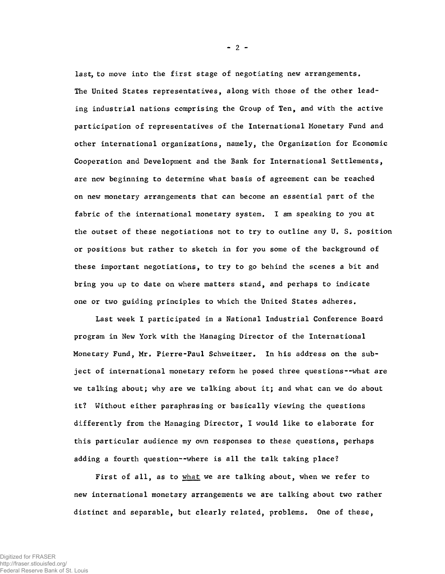last, to move into the first stage of negotiating new arrangements. The United States representatives, along with those of the other leading industrial nations comprising the Group of Ten, and with the active participation of representatives of the International Monetary Fund and other international organizations, namely, the Organization for Economic Cooperation and Development and the Bank for International Settlements, are now beginning to determine what basis of agreement can be reached on new monetary arrangements that can become an essential part of the fabric of the international monetary system. I am speaking to you at the outset of these negotiations not to try to outline any U. S. position or positions but rather to sketch in for you some of the background of these important negotiations, to try to go behind the scenes a bit and bring you up to date on where matters stand, and perhaps to indicate one or two guiding principles to which the United States adheres.

Last week I participated in a National Industrial Conference Board program in New York with the Managing Director of the International Monetary Fund, Mr. Pierre-Paul Schweitzer. In his address on the subject of international monetary reform he posed three questions--what are we talking about; why are we talking about it; and what can we do about it? Without either paraphrasing or basically viewing the questions differently from the Managing Director, I would like to elaborate for this particular audience my own responses to these questions, perhaps adding a fourth question--where is all the talk taking place?

First of all, as to what we are talking about, when we refer to new international monetary arrangements we are talking about two rather distinct and separable, but clearly related, problems. One of these,

 $-2 -$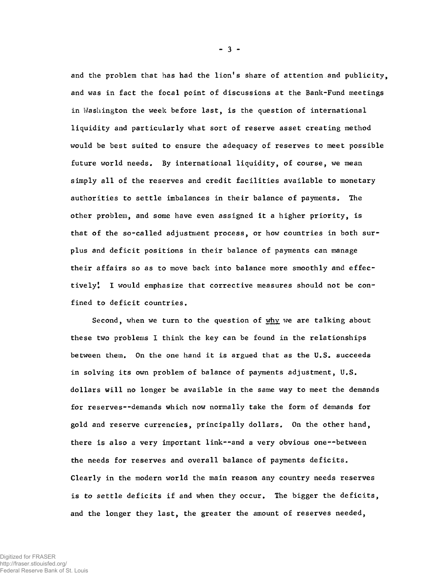and the problem that has had the lion's share of attention and publicity, and was in fact the focal point of discussions at the Bank-Fund meetings in Washington the week before last, is the question of international liquidity and particularly what sort of reserve asset creating method would be best suited to ensure the adequacy of reserves to meet possible future world needs. By international liquidity, of course, we mean simply all of the reserves and credit facilities available to monetary authorities to settle imbalances in their balance of payments. The other problem, and some have even assigned it a higher priority, is that of the so-called adjustment process, or how countries in both surplus and deficit positions in their balance of payments can manage their affairs so as to move back into balance more smoothly and effectively! I would emphasize that corrective measures should not be confined to deficit countries.

 $-3 -$ 

Second, when we turn to the question of  $why$  we are talking about these two problems I think the key can be found in the relationships between them. On the one hand it is argued that as the U.S. succeeds in solving its own problem of balance of payments adjustment, U.S. dollars will no longer be available in the same way to meet the demands for reserves--demands which now normally take the form of demands for gold and reserve currencies, principally dollars. On the other hand, there is also a very important link— and a very obvious one— between the needs for reserves and overall balance of payments deficits. Clearly in the modern world the main reason any country needs reserves is *to* settle deficits if and when they occur. The bigger the deficits, and the longer they last, the greater the amount of reserves needed,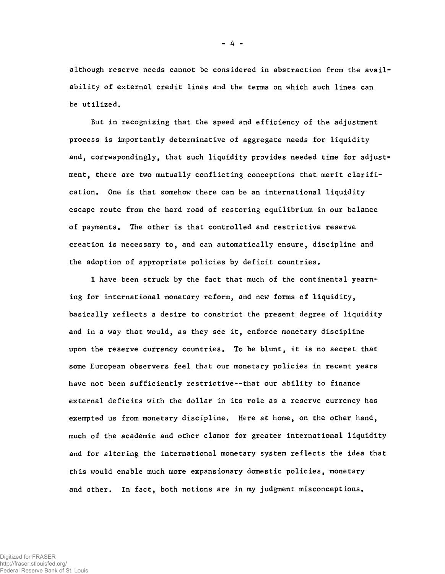although reserve needs cannot be considered in abstraction from the availability of external credit lines and the terms on which such lines can be utilized.

But in recognizing that the speed and efficiency of the adjustment process is importantly determinative of aggregate needs for liquidity and, correspondingly, that such liquidity provides needed time for adjustment, there are two mutually conflicting conceptions that merit clarification, One is that somehow there can be an international liquidity escape route from the hard road of restoring equilibrium in our balance of payments. The other is that controlled and restrictive reserve creation is necessary to, and can automatically ensure, discipline and the adoption of appropriate policies by deficit countries.

I have been struck by the fact that much of the continental yearning for international monetary reform, and new forms of liquidity, basically reflects a desire to constrict the present degree of liquidity and in a way that would, as they see it, enforce monetary discipline upon the reserve currency countries. To be blunt, it is no secret that some European observers feel that our monetary policies in recent years have not been sufficiently restrictive--that our ability to finance external deficits with the dollar in its role as a reserve currency has exempted us from monetary discipline. Here at home, on the other hand, much of the academic and other clamor for greater international liquidity and for altering the international monetary system reflects the idea that this would enable much more expansionary domestic policies, monetary and other. In fact, both notions are in my judgment misconceptions.

**- 4 -**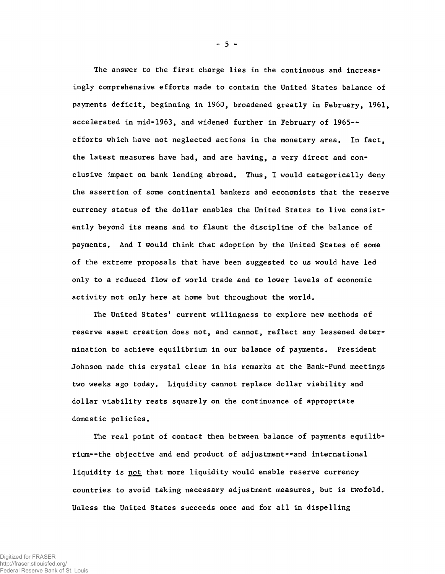The answer to the first charge lies in the continuous and increasingly comprehensive efforts made to contain the United States balance of payments deficit, beginning in 1960, broadened greatly in February, 1961, accelerated in mid-1963, and widened further in February of 1965- efforts which have not neglected actions in the monetary area. In fact, the latest measures have had, and are having, a very direct and conclusive impact on bank lending abroad. Thus, I would categorically deny the assertion of some continental bankers and economists that the reserve currency status of the dollar enables the United States to live consistently beyond its means and to flaunt the discipline of the balance of payments. And I would think that adoption by the United States of some of the extreme proposals that have been suggested to us would have led only to a reduced flow of world trade and to lower levels of economic activity not only here at home but throughout the world.

The United States' current willingness to explore new methods of reserve asset creation does not, and cannot, reflect any lessened determination to achieve equilibrium in our balance of payments. President Johnson made this crystal clear in his remarks at the Bank-Fund meetings two weeks ago today. Liquidity cannot replace dollar viability and dollar viability rests squarely on the continuance of appropriate domestic policies.

The real point of contact then between balance of payments equilibrium--the objective and end product of adjustment— and international liquidity is not that more liquidity would enable reserve currency countries to avoid taking necessary adjustment measures, but is twofold. Unless the United States succeeds once and for all in dispelling

 $-5 -$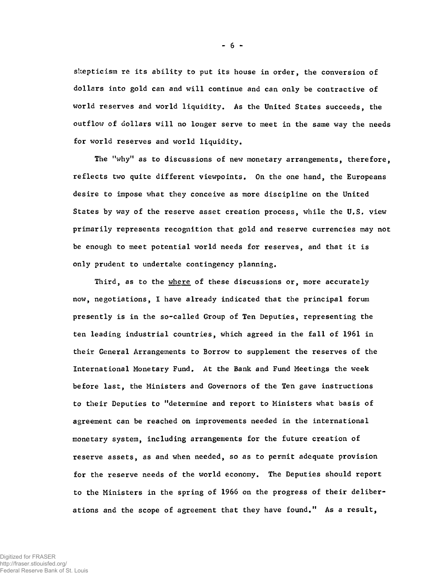skepticism re its ability to put its house in order, the conversion of dollars into gold can and will continue and can only be contractive of world reserves and world liquidity. As the United States succeeds, the outflow of dollars will no longer serve to meet in the same way the needs for world reserves and world liquidity.

The "why" as to discussions of new monetary arrangements, therefore, reflects two quite different viewpoints. On the one hand, the Europeans desire to impose what they conceive as more discipline on the United States by way of the reserve asset creation process, while the U,S. view primarily represents recognition that gold and reserve currencies may not be enough to meet potential world needs for reserves, and that it is only prudent to undertake contingency planning.

Third, as to the where of these discussions or, more accurately now, negotiations, I have already indicated that the principal forum presently is in the so-called Group of Ten Deputies, representing the ten leading industrial countries, which agreed in the fall of 1961 in their General Arrangements to Borrow to supplement the reserves of the International Monetary Fund. At the Bank and Fund Meetings the week before last, the Ministers and Governors of the Ten gave instructions to their Deputies to "determine and report to Ministers what basis of agreement can be reached on improvements needed in the international monetary system, including arrangements for the future creation of reserve assets, as and when needed, so as to permit adequate provision for the reserve needs of the world economy. The Deputies should report to the Ministers in the spring of 1966 on the progress of their deliberations and the scope of agreement that they have found." As a result,

- 6 -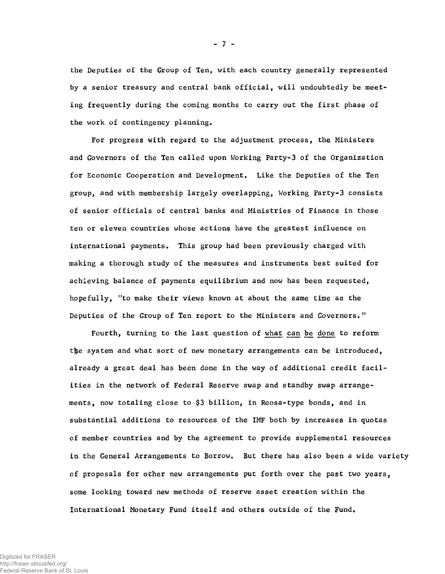the Deputies of the Group of Ten, with each country generally represented by a senior treasury and central bank official, will undoubtedly be meeting frequently during the coming months to carry out the first phase of the work of contingency planning.

For progress with regard to the adjustment process, the Ministers and Governors of the Ten called upon Working Party-3 of the Organization for Economic Cooperation and Development. Like the Deputies of the Ten group, and with membership largely overlapping, Working Party-3 consists of senior officials of central banks and Ministries of Finance in those ten or eleven countries whose actions have the greatest influence on international payments. This group had been previously charged with making a thorough study of the measures and instruments best suited for achieving balance of payments equilibrium and now has been requested, hopefully, "to make their views known at about the same time as the Deputies of the Group of Ten report to the Ministers and Governors."

Fourth, turning to the last question of what can be done to reform the system and what sort of new monetary arrangements can be introduced, already a great deal has been done in the way of additional credit facilities in the network of Federal Reserve swap and standby swap arrangements, now totaling close to \$3 billion, in Roosa-type bonds, and in substantial additions to resources of the IMF both by increases in quotas of member countries and by the agreement to provide supplemental resources in the General Arrangements to Borrow. But there has also been a wide variety of proposals for other new arrangements put forth over the past two years, some looking toward new methods of reserve asset creation within the International Monetary Fund itself and others outside of the Fund.

- 7 -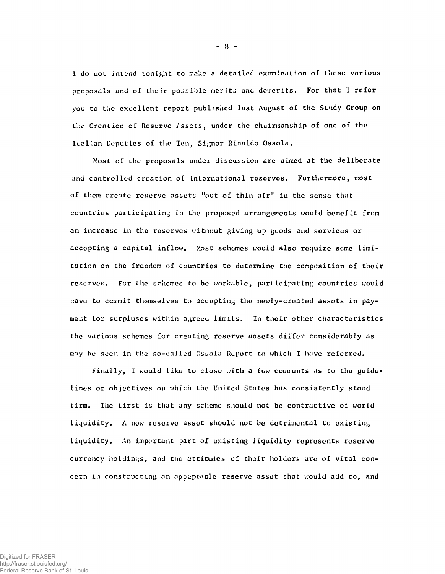I do not- intend tonight to make a detailed examination of these various proposals and of Lhcir possible merits and demerits. For that I refer you to the excellent report published last August of the Study Group on the Creation of Reserve Assets, under the chairmanship of one of the Italian Deputies of the Ten, Signor Rinaldo Ossola.

Most of the proposals under discussion are aimed at the deliberate and controlled crcation of international reserves. Furthermore, most of them create reserve assets "out of thin air" in the sense that countries participating in the proposed arrangements would benefit from an increase in the reserves without giving up goods and services or accepting a capital inflow. Most schemes would also require seme limitation on the freedom of countries to determine the composition of their reserves. For the schemes to be workable, participating countries would have to commit themselves to accepting the newly-created assets in payment for surpluses within agreed limits. In their other characteristics the various schemes for creating reserve assets differ considerably as may be seen in the so-called Ossola Report to which I have referred.

Finally, I would like to close with a few comments as to the guidelines or objectives on which the United States has consistently stood firm. The first is that any scheme should not be contractive oi world liquidity. A new reserve asset should not be detrimental to existing liquidity. An important part of existing liquidity represents reserve currency holdings, and the attitudes of their holders are of vital concern in constructing an appeptaole reserve asset that would add to, and

- 8 -